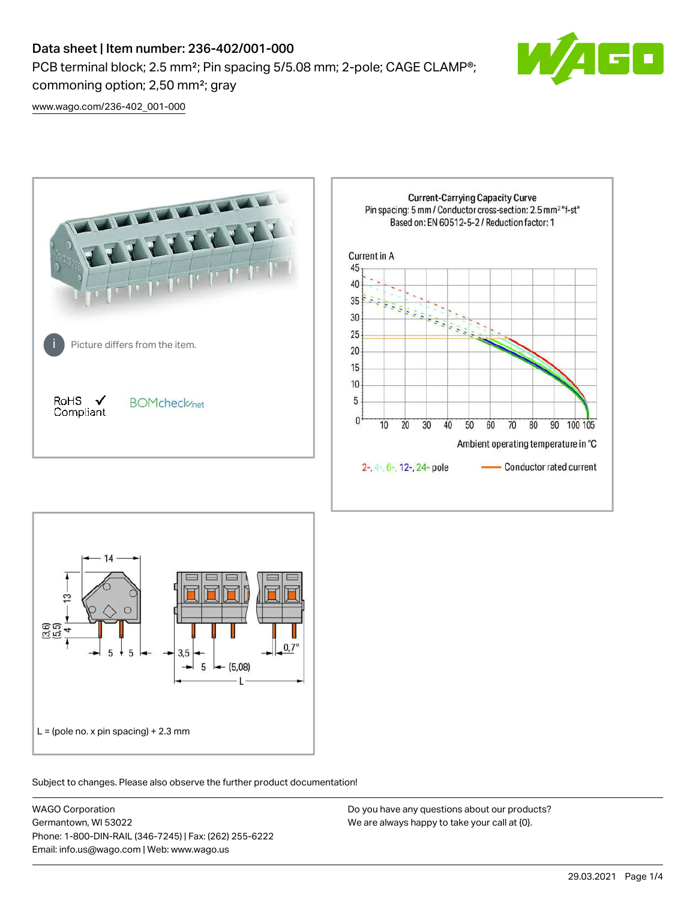# Data sheet | Item number: 236-402/001-000

PCB terminal block; 2.5 mm<sup>2</sup>; Pin spacing 5/5.08 mm; 2-pole; CAGE CLAMP<sup>®</sup>; commoning option; 2,50 mm²; gray



[www.wago.com/236-402\\_001-000](http://www.wago.com/236-402_001-000)





Subject to changes. Please also observe the further product documentation!

WAGO Corporation Germantown, WI 53022 Phone: 1-800-DIN-RAIL (346-7245) | Fax: (262) 255-6222 Email: info.us@wago.com | Web: www.wago.us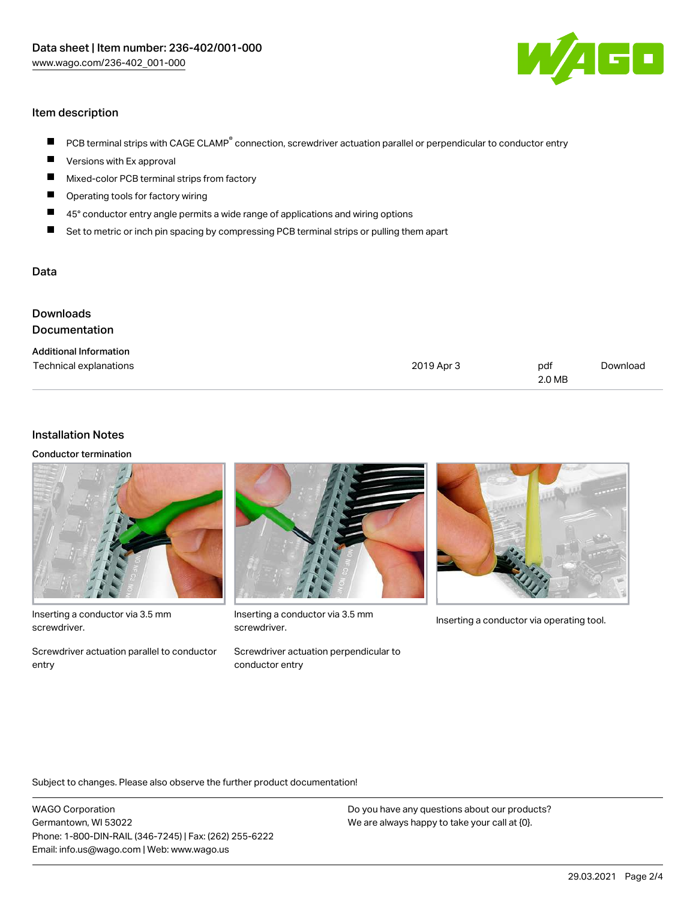

## Item description

- PCB terminal strips with CAGE CLAMP<sup>®</sup> connection, screwdriver actuation parallel or perpendicular to conductor entry  $\blacksquare$
- Versions with Ex approval П
- $\blacksquare$ Mixed-color PCB terminal strips from factory
- $\blacksquare$ Operating tools for factory wiring
- $\blacksquare$ 45° conductor entry angle permits a wide range of applications and wiring options
- П Set to metric or inch pin spacing by compressing PCB terminal strips or pulling them apart

#### Data

| <b>Downloads</b><br>Documentation                       |            |               |          |
|---------------------------------------------------------|------------|---------------|----------|
| <b>Additional Information</b><br>Technical explanations | 2019 Apr 3 | pdf<br>2.0 MB | Download |

#### Installation Notes

Conductor termination



Inserting a conductor via 3.5 mm screwdriver.

Screwdriver actuation parallel to conductor entry



Inserting a conductor via 3.5 mm<br>Inserting a conductor via operating tool. screwdriver.

Screwdriver actuation perpendicular to conductor entry



Subject to changes. Please also observe the further product documentation!

WAGO Corporation Germantown, WI 53022 Phone: 1-800-DIN-RAIL (346-7245) | Fax: (262) 255-6222 Email: info.us@wago.com | Web: www.wago.us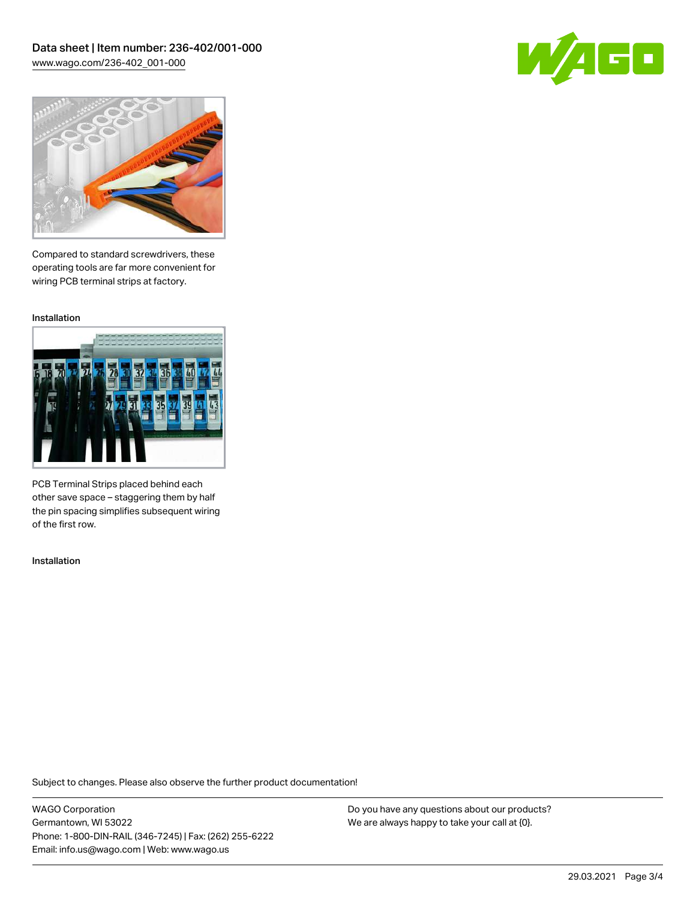



Compared to standard screwdrivers, these operating tools are far more convenient for wiring PCB terminal strips at factory.

Installation



PCB Terminal Strips placed behind each other save space – staggering them by half the pin spacing simplifies subsequent wiring of the first row.

Installation

Subject to changes. Please also observe the further product documentation!

WAGO Corporation Germantown, WI 53022 Phone: 1-800-DIN-RAIL (346-7245) | Fax: (262) 255-6222 Email: info.us@wago.com | Web: www.wago.us